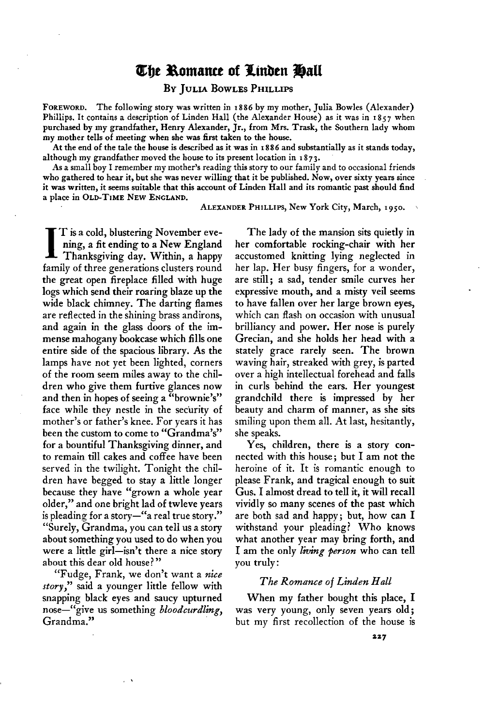# The Romance of Linden Hall

#### **BY JULIA BOWLES PHILLIPS**

**FOREWORD. The following story was written in 1886 by my mother, Julia Bowles (Alexander)**  Phillips. It contains a description of Linden Hall (the Alexander House) as it was in 1857 when **purchased by my grandfather, Henry Alexander, Jr., from Mrs. Trask, the Southern lady whom my mother tells of meeting when she was first taken to the house.** 

**At the end of the tale the house is described as it was in I 886 and substantially as it stands today, although my grandfather moved the house to its present location in r 873.** 

**As a small boy I remember my mother's reading this story to our family and to occasional friends who gathered to hear it, but she was never willing that it be published. Now, over sixty years since**  it was written, it seems suitable that this account of Linden Hall and its romantic past should find **aplacein OLD-TIMENEWENCLAND.** 

ALEXANDER PHILLIPS, New York City, March, 1950.

**I T is a cold, blustering November eve-Thanksgiving day. Within, a happy ning, a fit ending to a New England family of three generations clusters round the great open fireplace filled with huge logs which send their roaring blaze up the wide black chimney. The darting flames are reflected in the shining brass andirons, and again in the glass doors of the immense mahogany bookcase which fills one entire side of the spacious library. As the lamps have not yet been lighted, corners of the room seem miles away to the children who give them furtive glances now and then in hopes of seeing a "brownie's" face while they nestle in the security of mother's or father's knee. For years it has been the custom to come to "Grandma's" for a bountiful Thanksgiving dinner, and to remain till cakes and coffee have been served in the twilight. Tonight the children have begged to stay a little longer because they have "grown a whole year older," and one bright lad of twleve years**  is pleading for a story-"a real true story." **"Surely, Grandma, you can tell us a story about something you used to do when you were a little girl-isn't there a nice story about this dear old house?"** 

**"Fudge, Frank, we don't want a nice story," said a younger little fellow with snapping black eyes and saucy upturned nose-"give us something bloodcurdling, Grandma."** 

**The lady of the mansion sits quietly in her comfortable rocking-chair with her accustomed knitting lying neglected in her lap. Her busy fingers, for a wonder, are still; a sad, tender smile curves her expressive mouth, and a misty veil seems to have fallen over her large brown eyes, which can flash on occasion with unusual brilliancy and power. Her nose is purely Grecian, and she holds her head with a stately grace rarely seen. The brown waving hair, streaked with grey, is parted over a high intellectual forehead and falls in curls behind the ears. Her youngest grandchild there is impressed by her beauty and charm of manner, as she sits smiling upon them all. At last, hesitantly, she speaks.** 

**Yes, children, there is a story connected with this house; but I am not the heroine of it. It is romantic enough to please Frank, and tragical enough to suit Gus. I almost dread to tell it, it will recall vividly so many scenes of the past which are both sad and happy; but, how can I withstand your pleading? Who knows what another year may bring forth, and**  I am the only living person who can tell **you truly:** 

#### **The Romance of Linden Hall**

**When my father bought this place, I was very young, only seven years old ; but my first recollection of the house is**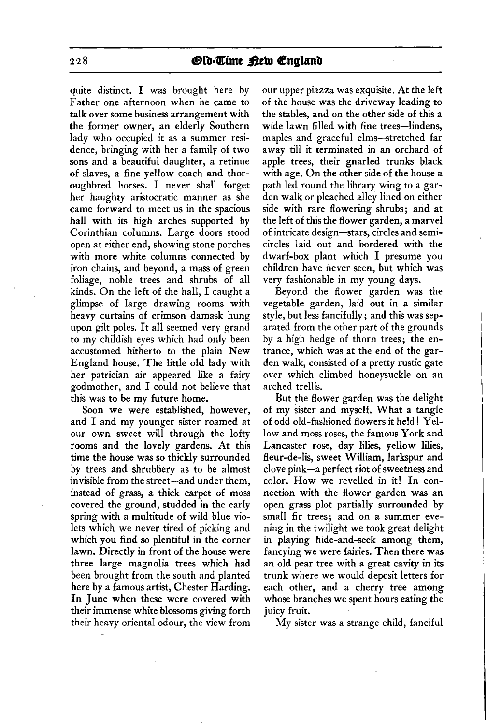**<sup>228</sup>fBIb=Qime &b, Qenglanb** 

**quite distinct. I was brought here by Father one afternoon when he came to talk over some business arrangement with the former owner, an elderly Southern lady who occupied it as a summer residence, bringing with her a family of two sons and a beautiful daughter, a retinue of slaves, a fine yellow coach and thoroughbred horses. I never shall forget her haughty aristocratic manner as she came forward to meet us in the spacious hall with its high arches supported by Corinthian columns. Large doors stood open at either end, showing stone porches with more white columns connected by iron chains, and beyond, a mass of green foliage, noble trees and shrubs of all kinds. On the left of the hall, I caught a glimpse of large drawing rooms with heavy curtains of crimson damask hung upon gilt poles. It all seemed very grand to my childish eyes which had only been accustomed hitherto to the plain New England house. The little old lady with her patrician air appeared like a fairy godmother, and I could not believe that this was to be my future home.** 

**Soon we were established, however, and I and my younger sister roamed at our own sweet will through the lofty rooms and the lovely gardens. At this time the house was so thickly surrounded by trees and shrubbery as to be almost invisible from the street-and under them, instead of grass, a thick carpet of moss covered the ground, studded in the early spring with a multitude of wild blue violets which we never tired of picking and which you find so plentiful in the corner lawn. Directly in front of the house were three large magnolia trees which had been brought from the south and planted here by a famous artist, Chester Harding. In June when these were covered with their immense white blossoms giving forth their heavy oriental odour, the view from** 

**our upper piazza was exquisite. At the left of the house was the driveway leading to the stables, and on the other side of this a wide lawn filled with fine trees-lindens, maples and graceful elms-stretched far away till it terminated in an orchard of apple trees, their gnarled trunks black with age. On the other side of the house a path led round the library wing to a garden walk or pleached alley lined on either side with rare flowering shrubs; and at the left of this the flower garden, a marvel of intricate design-stars, circles and semicircles laid out and bordered with the dwarf-box plant which I presume you children have never seen, but which was very fashionable in my young days.** 

**Beyond the flower garden was the vegetable garden, laid out in a similar style, but less fancifully; and this was separated from the other part of the grounds by a high hedge of thorn trees; the entrance, which was at the end of the garden walk, consisted of a pretty rustic gate over which climbed honeysuckle on an arched trellis.** 

**But the flower garden was the delight of my sister and myself. What a tangle of odd old-fashioned flowers it held! Yellow and moss roses, the famous York and Lancaster rose, day lilies, yellow lilies,**  fleur-de-lis, sweet William, larkspur and **clove pink-a perfect riot of sweetness and color. How we revelled in it! In connection with the flower garden was an open grass plot partially surrounded by small fir trees; and on a summer evening in the twilight we took great delight in playing hide-and-seek among them, fancying we were fairies. Then there was an old pear tree with a great cavity in its trunk where we would deposit letters for each other, and a cherry tree among whose branches we spent hours eating the juicy fruit.** 

**My sister was a strange child, fanciful**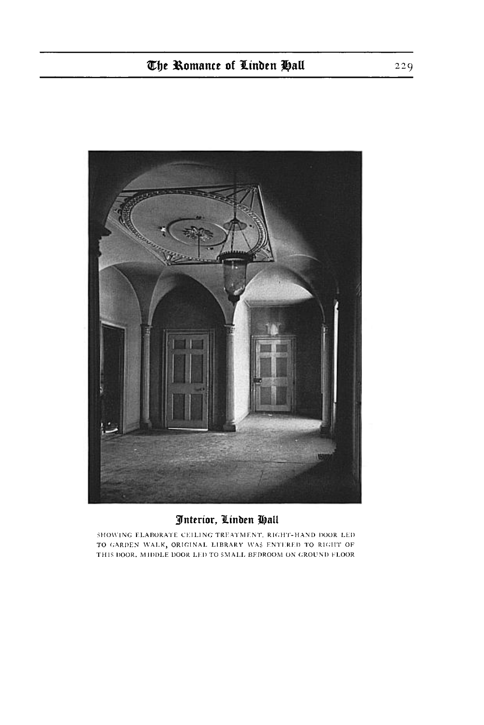

# Interior, Linden Hall

SHOWING ELABORATE CEILING TREATMENT, RIGHT-HAND DOOR LED TO GARDEN WALK, ORIGINAL LIBRARY WAS ENTERED TO RIGHT OF THIS DOOR, MIDDLE DOOR LED TO SMALL BEDROOM ON GROUND FLOOR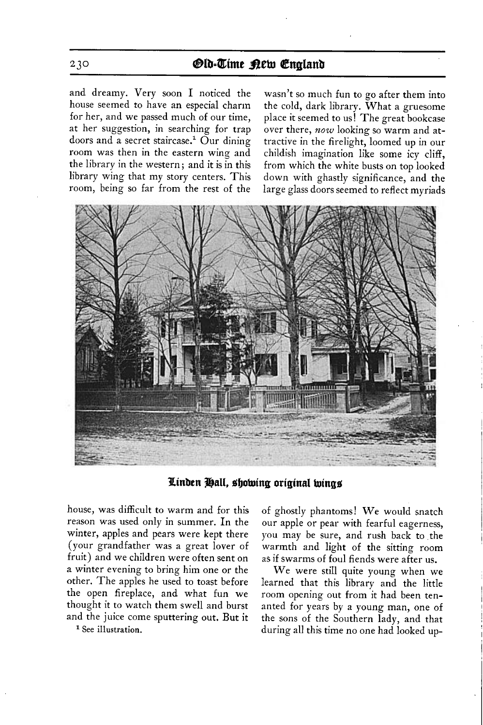## **230 BLb=Qime 33eku Qhglanb**

**and dreamy. Very soon I noticed the house seemed to have an especial charm for her, and we passed much of our time, at her suggestion, in searching for trap**  doors and a secret staircase.<sup>1</sup> Our dining **room was then in the eastern wing and the library in the western ; and it is in this library wing that my story centers. This room, being so far from the rest of the** 

**wasn't so much fun to go after them into the cold, dark library. What a gruesome place it seemed to us! The great bookcase over there, now looking so warm and attractive in the firelight, loomed up in our childish imagination like some icy cliff, from which the white busts on top looked down with ghastly significance, and the large glass doors seemed to reflect myriads** 



Linden Hall, showing original wings

**house, was difficult to warm and for this reason was used only in summer. In the winter, apples and pears were kept there (your grandfather was a great lover of fruit) and we children were often sent on a winter evening to bring him one or the other. The apples he used to toast before the open fireplace, and what fun we thought it to watch them swell and burst and the juice come sputtering out. But it** 

**1 See illustration.** 

**of ghostly phantoms! We would snatch our apple or pear with fearful eagerness, you may be sure, and rush back to the warmth and light of the sitting room as if swarms of foul fiends were after us.** 

**We were still quite young when we learned that this library and the little room opening out from it had been tenanted for years by a young man, one of the sons of the Southern lady, and that during all this time no one had looked up-**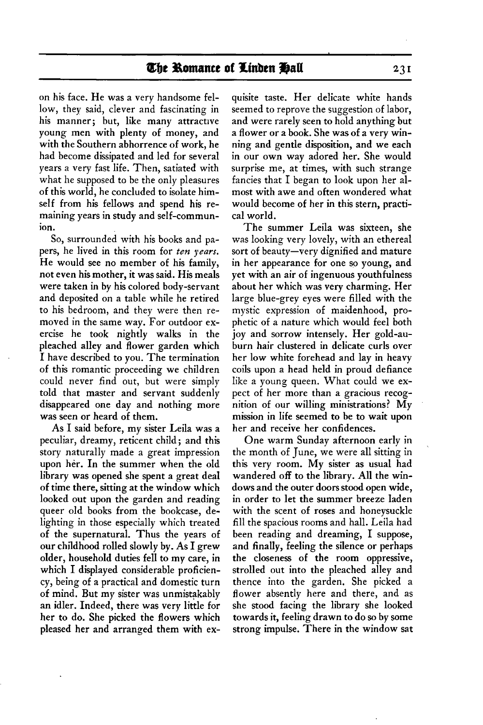### The Romance of Linden Hall

**on his face. He was a very handsome fellow, they said, clever and fascinating in his manner; but, like many attractive young men with plenty of money, and with the Southern abhorrence of work, he had become dissipated and led for several years a very fast life. Then, satiated with what he supposed to be the only pleasures of this world, he concluded to isolate himself from his fellows and spend his remaining years in study and self-communion.** 

**So, surrounded with his books and papers, he lived in this room for ten years. He would see no member of his family, not even his mother, it was said. His meals were taken in by his colored body-servant and deposited on a table while he retired to his bedroom, and they were then removed in the same way. For outdoor exercise he took nightly walks in the pleached alley and flower garden which I have described to you. The termination of this romantic proceeding we children could never find out, but were simply told that master and servant suddenly disappeared one day and nothing more was seen or heard of them.** 

**As I said before, my sister Leila was a peculiar, dreamy, reticent child; and this story naturally made a great impression upon her. In the summer when the old library was opened she spent a great deal of time there, sitting at the window which looked out upon the garden and reading queer old books from the bookcase, delighting in those especially which treated of the supernatural. Thus the years of our childhood rolled slowly by. As I grew older, household duties fell to my care, in which I displayed considerable proficiency, being of a practical and domestic turn of mind. But my sister was unmistakably an idler. Indeed, there was very little for her to do. She picked the flowers which pleased her and arranged them with ex-**

**quisite taste. Her delicate white hands seemed to reprove the suggestion of labor, and were rarely seen to hold anything but a flower or a book. She was of a very winning and gentle disposition, and we each in our own way adored her. She would surprise me, at times, with such strange fancies that I began to look upon her almost with awe and often wondered what would become of her in this stern, practical world.** 

**The summer Leila was sixteen, she was looking very lovely, with an ethereal sort of beauty-very dignified and mature in her appearance for one so young, and yet with an air of ingenuous youthfulness about her which was very charming. Her large blue-grey eyes were filled with the mystic expression of maidenhood, prophetic of a nature which would feel both joy and sorrow intensely. Her gold-auburn hair clustered in delicate curls over her low white forehead and lay in heavy coils upon a head held in proud defiance like a young queen. What could we expect of her more than a gracious recognition of our willing ministrations? My mission in life seemed to be to wait upon her and receive her confidences.** 

**One warm Sunday afternoon early in the month of June, we were all sitting in this very room. My sister as usual had wandered off to the library. All the windows and the outer doors stood open wide, in order to let the summer breeze laden with the scent of roses and honeysuckle fill the spacious rooms and hall. Leila had been reading and dreaming, I suppose, and finally, feeling the silence or perhaps the closeness of the room oppressive, strolled out into the pleached alley and thence into the garden. She picked a flower absently here and there, and as she stood facing the library she looked towards it, feeling drawn to do so by some strong impulse. There in the window sat** 

 $23I$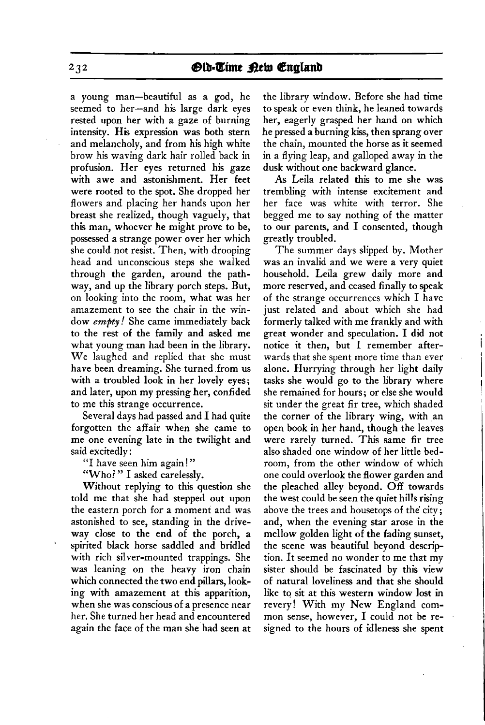**a young man-beautiful as a god, he seemed to her-and his large dark eyes rested upon her with a gaze of burning intensity. His expression was both stern and melancholy, and from his high white brow his waving dark hair rolled back in profusion. Her eyes returned his gaze with awe and astonishment. Her feet were rooted to the spot. She dropped her flowers and placing her hands upon her breast she realized, though vaguely, that this man, whoever he might prove to be, possessed a strange power over her which she could not resist. Then, with drooping head and unconscious steps she walked through the garden, around the pathway, and up the library porch steps. But, on looking into the room, what was her amazement to see the chair in the window empty! She came immediately back to the rest of the family and asked me what young man had been in the library. We laughed and replied that she must have been dreaming. She turned from us with a troubled look in her lovely eyes; and later, upon my pressing her, confided to me this strange occurrence.** 

**Several days had passed and I had quite forgotten the affair when she came to me one evening late in the twilight and said excitedly :** 

**"I have seen him again ! "** 

**"Who? " I asked carelessly.** 

**Without replying to this question she told me that she had stepped out upon the eastern porch for a moment and was astonished to see, standing in the driveway close to the end of the porch, a ' spirited black horse saddled and bridled with rich silver-mounted trappings. She was leaning on the heavy iron chain which connected the two end pillars, looking with amazement at this apparition, when she was conscious of a presence near her. She turned her head and encountered again the face of the man she had seen at** 

**the library window. Before she had time to speak or even think, he leaned towards her, eagerly grasped her hand on which he pressed a burning kiss, then sprang over the chain, mounted the horse as it seemed in a flying leap, and galloped away in the dusk without one backward glance.** 

**As Leila related this to me she was trembling with intense excitement and her face was white with terror. She begged me to say nothing of the matter to our parents, and I consented, though greatly troubled.** 

**The summer days slipped by. Mother was an invalid and we were a very quiet household. Leila grew daily more and more reserved, and ceased finally to speak of the strange occurrences which I have just related and about which she had formerly talked with me frankly and with great wonder and speculation. I did not notice it then, but I remember afterwards that she spent more time than ever alone. Hurrying through her light daily tasks she would go to the library where she remained for hours; or else she would sit under the great fir tree, which shaded the corner of the library wing, with an open book in her hand, though the leaves were rarely turned. This same fir tree also shaded one window of her little bedroom, from the other window of which one could overlook the flower garden and the pleached alley beyond. Off towards the west could be seen the quiet hills rising above the trees and housetops of the' city; and, when the evening star arose in the mellow golden light of the fading sunset, the scene was beautiful beyond description. It seemed no wonder to me that my sister should be fascinated by this view of natural loveliness and that she should like to sit at this western window lost in revery! With my New England common sense, however, I could not be resigned to the hours of idleness she spent** 

 $232$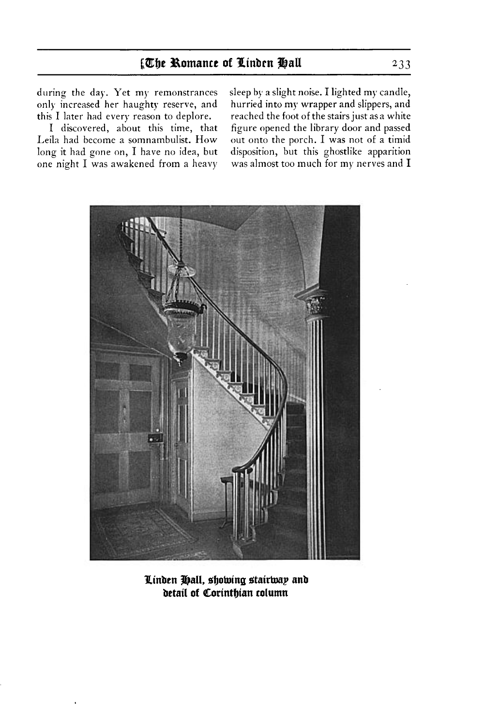**only increased her haughty reserve, and this I later had every reason to deplore.** 

Leila had become a somnambulist. How out onto the porch. I was not of a timid long it had gone on, I have no idea, but disposition, but this ghostlike apparition long it had gone on, I have no idea, but **one night I was awakened from a heavy was almost too much for my nerves and I** 

**during the day. Yet my remonstrances sleep by a slight noise. I lighted my candle, hurried into my wrapper and slippers, and reached the foot of the stairs just asa white I discovered, about this time, that figure opened the library door and passed** 



**Linden Hall, showing stairway and betail of Corinthian column**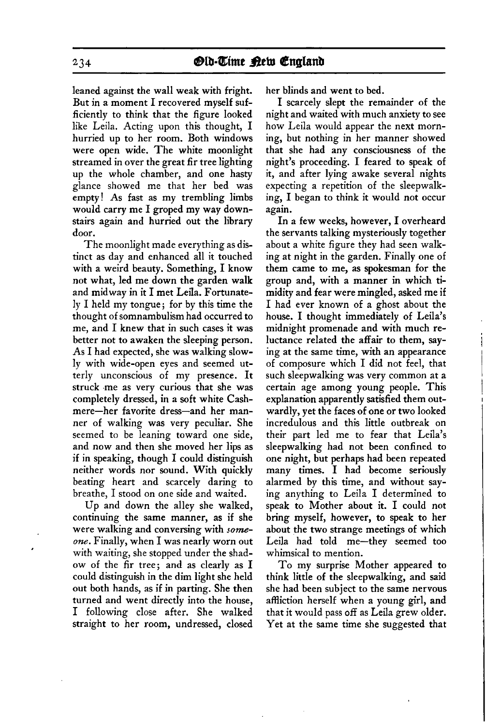**leaned against the wall weak with fright. But in a moment I recovered myself sufficiently to think that the figure looked like Leila. Acting upon this thought, I hurried up to her room. Both windows were open wide. The white moonlight streamed in over the great fir tree lighting up the whole chamber, and one hasty glance showed me that her bed was empty! As fast as my trembling limbs would carry me I groped my way downstairs again and hurried out the library door.** 

**The moonlight made everything as distinct as day and enhanced all it touched with a weird beauty. Something, I know not what, led me down the garden walk and midway in it I met Leila. Fortunately I held my tongue; for by this time the thought of somnambulism had occurred to me, and I knew that in such cases it was better not to awaken the sleeping person. As I had expected, she was walking slowly with wide-open eyes and seemed utterly unconscious of my presence. It struck .me as very curious that she was completely dressed, in a soft white Cashmere-her favorite dress-and her manner of walking was very peculiar. She seemed to be leaning toward one side, and now and then she moved her lips as if in speaking, though I could distinguish neither words nor sound. With quickly beating heart and scarcely daring to breathe, I stood on one side and waited.** 

**Up and down the alley she walked, continuing the same manner, as if she were walking and conversing with zomeone. Finally, when I was nearly worn out , with waiting, she stopped under the shadow of the fir tree; and as clearly as I could distinguish in the dim light she held out both hands, as if in parting. She then turned and went directly into the house, I following close after. She walked straight to her room, undressed, closed** 

**her blinds and went to bed.** 

**I scarcely slept the remainder of the night and waited with much anxiety to see how Leila would appear the next morning, but nothing in her manner showed that she had any consciousness of the night's proceeding. I feared to speak of it, and after lying awake several nights expecting a repetition of the sleepwalking, I began to think it would not occur again.** 

**In a few weeks, however, I overheard the servants talking mysteriously together about a white figure they had seen walking at night in the garden. Finally one of them came to me, as spokesman for the group and, with a manner in which timidity and fear were mingled, asked me if I had ever known of a ghost about the house. I thought immediately of Leila's midnight promenade and with much reluctance related the affair to them, saying at the same time, with an appearance of composure which I did not feel, that such sleepwalking was very common at a certain age among young people. This explanation apparently satisfied them outwardly, yet the faces of one or two looked incredulous and this little outbreak on their part led me to fear that Leila's sleepwalking had not been confined to one night, but perhaps had been repeated many times. I had become seriously alarmed by this time, and without saying anything to Leila I determined to speak to Mother about it. I could not bring myself, however, to speak to her about the two strange meetings of which Leila had told me-they seemed too whimsical to mention.** 

 $\mathbf{I}$ 

**To my surprise Mother appeared to think little of the sleepwalking, and said she had been subject to the same nervous affliction herself when a young girl, and that it would pass off as Leila grew older. Yet at the same time she suggested that** 

**234**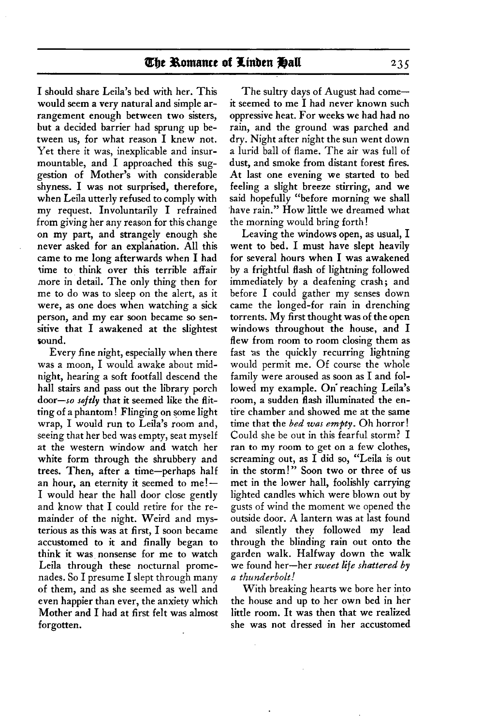**I should share Leila's bed with her. This would seem a very natural and simple arrangement enough between two sisters, but a decided barrier had sprung up between us, for what reason I knew not. Yet there it was, inexplicable and insurmountable, and I approached this suggestion of Mother's with considerable shyness. I was not surprised, therefore, when Leila utterly refused to comply with my request. Involuntarily I refrained from giving her any reason for this change on my part, and strangely enough she never asked for an explanation. All this came to me long afterwards when I had time to think over this terrible affair more in detail. The only thing then for me to do was to sleep on the alert, as it were, as one does when watching a sick person, and my ear soon became so sensitive that I awakened at the slightest sound.** 

**Every fine night, especially when there was a moon, I would awake about midnight, hearing a soft footfall descend the hall stairs and pass out the library porch door--so softly that it seemed like the flitting of a phantom ! Flinging on some light wrap, I would run to Leila's room and, seeing that her bed was empty, seat myself at the western window and watch her white form through the shrubbery and trees. Then, after a time-perhaps half**  an hour, an eternity it seemed to me!-**I would hear the hall door close gently and know that I could retire for the remainder of the night. Weird and mysterious as this was at first, I soon became accustomed to it and finally began to think it was. nonsense for me to watch Leila through these nocturnal promenades. So I presume I slept through many of them, and as she seemed as well and even happier than ever, the anxiety which Mother and I had at first felt was almost forgotten.** 

**The sultry days of August had comeit seemed to me I had never known such oppressive heat. For weeks we had had no rain, and the ground was parched and dry. Night after night the sun went down a lurid ball of flame. The air was full of dust, and smoke from distant forest fires. At last one evening we started to bed feeling a slight breeze stirring, and we said hopefully "before morning we shall 'have rain." How little we dreamed what the morning would bring forth !** 

**Leaving the windows open, as usual, I went to bed. I must have slept heavily for several hours when I was awakened by a frightful flash of lightning followed immediately by a deafening crash; and before I could gather my senses down came the longed-for rain in drenching torrents. My first thought was of the open windows throughout the house, and I flew from room to room closing them as fast as the quickly recurring lightning would permit me. Of course the whole family were aroused as soon as I and fol**lowed my example. On reaching Leila's **room, a sudden flash illuminated the entire chamber and showed me at the same time that the bed was empty. Oh horror! Could she be out in this fearful storm? I ran to my room to get on a few clothes, screaming out, as I did so, "Leila is out in the storm!" Soon two or three of us met in the lower hall, foolishly carrying lighted candles which were blown out by gusts of wind the moment we opened the outside door. A lantern was at last found and silently they followed my lead through the blinding rain out onto the garden walk. Halfway down the walk we found her-her sweet life shattered by a thunderbolt!** 

**With breaking hearts we bore her into the house and up to her own bed in her little room. It was then that we realized she was not dressed in her accustomed**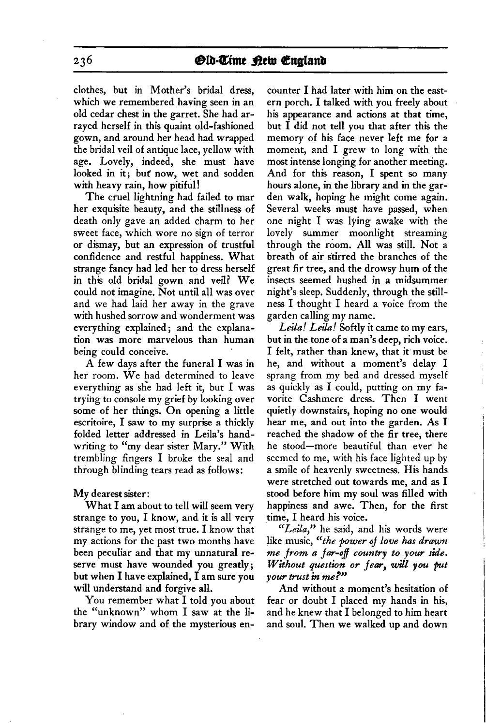**clothes, but in Mother's bridal dress, which we remembered having seen in an old cedar chest in the garret. She had arrayed herself in this quaint old-fashioned gown, and around her head had wrapped the bridal veil of antique lace, yellow with age. Lovely, indeed, she must have looked in it; but now, wet and sodden with heavy rain, how pitiful!** 

**The cruel lightning had failed to mar her exquisite beauty, and the stillness of death only gave an added charm to her sweet face, which wore no sign of terror or dismay, but an expression of trustful confidence and restful happiness. What strange fancy had led her to dress herself in this old bridal gown and veil? We could not imagine. Not until all was over and we had laid her away in the grave with hushed sorrow and wonderment was everything explained; and the explanation was more marvelous than human being could conceive.** 

**A few days after the funeral I was in her room. We had determined to leave everything as she had left it, but I was trying to console my grief by looking over some of her things. On opening a little escritoire, I saw to my surprise a thickly folded letter addressed in Leila's handwriting to "my dear sister Mary." With trembling fingers I broke the seal and through blinding tears read as follows:** 

**My dearest sister:** 

**What I am about to tell will seem very strange to you, I know, and it is all very strange to me, yet most true. I know that my actions for the past two months have been peculiar and that my unnatural reserve must have wounded you greatly; but when I have explained, I am sure you will understand and forgive all.** 

**You remember what I told you about the "unknown" whom I saw at the library window and of the mysterious en-**

**counter I had later with him on the eastern porch. I talked with you freely about his appearance and actions at that time, but I did not tell you that after this the memory of his face never left me for a moment, and I grew to long with the most intense longing for another meeting. And for this reason, I spent so many hours alone, in the library and in the garden walk, hoping he might come again. Several weeks must have passed, when one night I was lying awake with the lovely summer moonlight streaming through the room. All was still. Not a breath of air stirred the branches of the great fir tree, and the drowsy hum of the insects seemed hushed in a midsummer night's sleep. Suddenly, through the stillness I thought I heard a voice from the garden calling my name.** 

Leila! Leila! Softly it came to my ears, **but in the tone of a man's deep, rich voice. I felt, rather than knew, that it must be he, and without a moment's delay I sprang from my bed and dressed myself as quickly as I could, putting on my favorite Cashmere dress. Then I went quietly downstairs, hoping no one would hear me, and out into the garden. As I reached the shadow of the fir tree, there he stood-more beautiful than ever he seemed to me, with his face lighted up by a smile of heavenly sweetness. His hands were stretched out towards me, and as I stood before him my soul was filled with happiness and awe. Then, for the first time, I heard his voice.** 

 $\mathbf{I}$ 

**"Lega," he said, and his words were like music, "the power of love has drawn**  me from a far-off country to your side. **Without question or fear, will you put your trust in me?"** 

**And without a moment's hesitation of fear or doubt I placed my hands in his, and he knew that I belonged to him heart and soul. Then we walked up and down**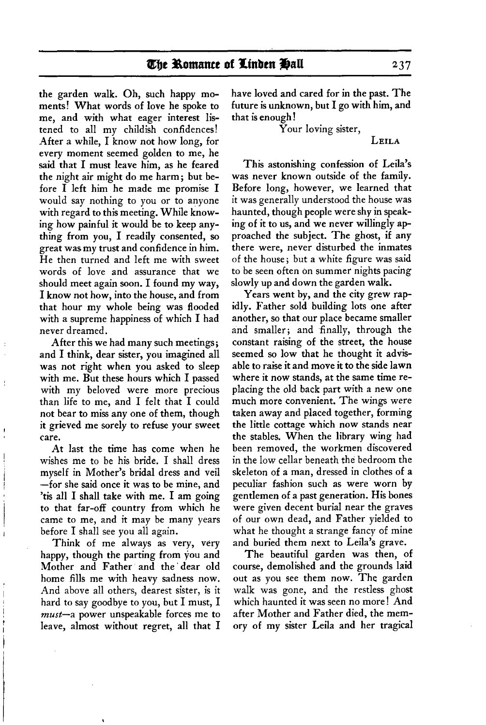**the garden walk. Oh, such happy moments! What words of love he spoke to me, and with what eager interest listened to all my childish confidences! After a while, I know not how long, for every moment seemed golden to me, he said that I must leave him, as he feared the night air might do me harm ; but before I left him he made me promise I would say nothing to you or to anyone with regard to this meeting. While knowing how painful it would be to keep anything from you, I readily consented, so great was my trust and confidence in him. He then turned and left me with sweet words of love and assurance that we should meet again soon. I found my way, I know not how, into the house, and from that hour my whole being was flooded with a supreme happiness of which I had never dreamed.** 

**After this we had many such meetings; and I think, dear sister, you imagined all was not right when you asked to sleep with me. But these hours which I passed with my beloved were more precious than life to me, and I felt that I could not bear to miss any one of them, though 1 it grieved me sorely to refuse your sweet care.** 

ţ

**At last the time has come when he wishes me to be his bride. I shall dress ! myself in Mother's bridal dress and veil I -for she said once it was to be mine, and 'tis all I shall take with me. I am going to that far-off country from which he came to me, and it may be many years before I shall see you all again.** 

**Think of me always as very, very happy, though the parting from vou and Mother and Father and the' dear old home fills me with heavy sadness now. And above all others, dearest sister, is it hard to say goodbye to you, but I must, I must-a power unspeakable forces me to leave, almost without regret, all that I**  **have loved and cared for in the past. The future is unknown, but I go with him, and that is enough !** 

**Your loving sister,** 

**LEILA** 

**This astonishing confession of Leila's was never known outside of the family. Before long, however, we learned that it was generally understood the house was haunted, though people were shy in speaking of it to us, and we never willingly approached the subject. The ghost, if any there were, never disturbed the inmates of the house; but a white figure was said to be seen often on summer nights pacing slowly up and down the garden walk.** 

**Years went by, and the city grew rapidly. Father sold building lots one after another, so that our place became smaller and smaller; and finally, through the constant raising of the street, the house seemed so low that he thought it advisable to raise it and move it to the side lawn where it now stands, at the same time replacing the old back part with a new one much more convenient. The wings were taken away and placed together, forming the little cottage which now stands near the stables. When the library wing had been removed, the workmen discovered in the low cellar beneath the bedroom the skeleton of a man, dressed in clothes of a peculiar fashion such as were worn by gentlemen of a past generation. His bones were given decent burial near the graves of our own dead, and Father yielded to what he thought a strange fancy of mine and buried them next to Leila's grave.** 

**The beautiful garden was then, of course, demolished and the grounds laid out as you see them now. The garden walk was gone, and the restless ghost which haunted it was seen no more! And after Mother and Father died, the memory of my sister Leila and her tragical**